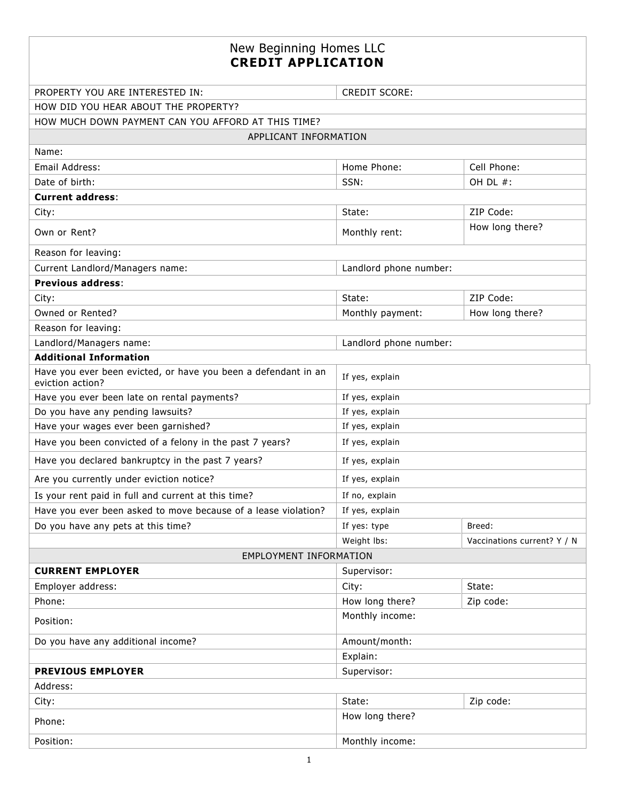## New Beginning Homes LLC **CREDIT APPLICATION**

| PROPERTY YOU ARE INTERESTED IN:                                                    | <b>CREDIT SCORE:</b>   |                             |  |  |
|------------------------------------------------------------------------------------|------------------------|-----------------------------|--|--|
| HOW DID YOU HEAR ABOUT THE PROPERTY?                                               |                        |                             |  |  |
| HOW MUCH DOWN PAYMENT CAN YOU AFFORD AT THIS TIME?                                 |                        |                             |  |  |
| APPLICANT INFORMATION                                                              |                        |                             |  |  |
| Name:                                                                              |                        |                             |  |  |
| Email Address:                                                                     | Home Phone:            | Cell Phone:                 |  |  |
| Date of birth:                                                                     | SSN:                   | OH DL #:                    |  |  |
| <b>Current address:</b>                                                            |                        |                             |  |  |
| City:                                                                              | State:                 | ZIP Code:                   |  |  |
| Own or Rent?                                                                       | Monthly rent:          | How long there?             |  |  |
| Reason for leaving:                                                                |                        |                             |  |  |
| Current Landlord/Managers name:                                                    | Landlord phone number: |                             |  |  |
| <b>Previous address:</b>                                                           |                        |                             |  |  |
| City:                                                                              | State:                 | ZIP Code:                   |  |  |
| Owned or Rented?                                                                   | Monthly payment:       | How long there?             |  |  |
| Reason for leaving:                                                                |                        |                             |  |  |
| Landlord/Managers name:                                                            | Landlord phone number: |                             |  |  |
| <b>Additional Information</b>                                                      |                        |                             |  |  |
| Have you ever been evicted, or have you been a defendant in an<br>eviction action? | If yes, explain        |                             |  |  |
| Have you ever been late on rental payments?                                        | If yes, explain        |                             |  |  |
| Do you have any pending lawsuits?                                                  | If yes, explain        |                             |  |  |
| Have your wages ever been garnished?                                               | If yes, explain        |                             |  |  |
| Have you been convicted of a felony in the past 7 years?                           | If yes, explain        |                             |  |  |
| Have you declared bankruptcy in the past 7 years?                                  | If yes, explain        |                             |  |  |
| Are you currently under eviction notice?                                           | If yes, explain        |                             |  |  |
| Is your rent paid in full and current at this time?                                | If no, explain         |                             |  |  |
| Have you ever been asked to move because of a lease violation?                     | If yes, explain        |                             |  |  |
| Do you have any pets at this time?                                                 | If yes: type           | Breed:                      |  |  |
|                                                                                    | Weight lbs:            | Vaccinations current? Y / N |  |  |
| <b>EMPLOYMENT INFORMATION</b>                                                      |                        |                             |  |  |
| <b>CURRENT EMPLOYER</b>                                                            | Supervisor:            |                             |  |  |
| Employer address:                                                                  | City:                  | State:                      |  |  |
| Phone:                                                                             | How long there?        | Zip code:                   |  |  |
| Position:                                                                          | Monthly income:        |                             |  |  |
| Do you have any additional income?                                                 | Amount/month:          |                             |  |  |
|                                                                                    | Explain:               |                             |  |  |
| <b>PREVIOUS EMPLOYER</b>                                                           | Supervisor:            |                             |  |  |
| Address:                                                                           |                        |                             |  |  |
| City:                                                                              | State:                 | Zip code:                   |  |  |
| Phone:                                                                             | How long there?        |                             |  |  |
| Position:                                                                          | Monthly income:        |                             |  |  |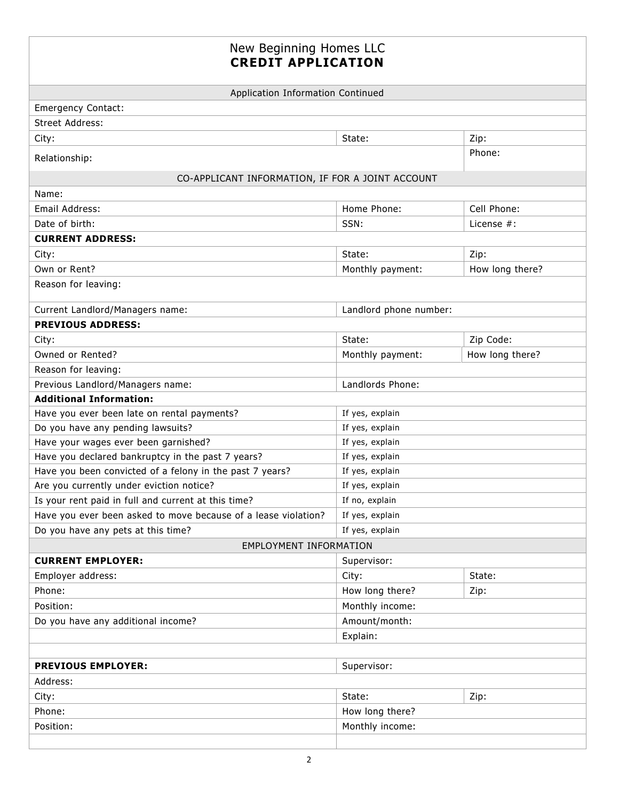## New Beginning Homes LLC **CREDIT APPLICATION** Application Information Continued Emergency Contact: Street Address: City: State: Zip: Relationship: Phone: CO-APPLICANT INFORMATION, IF FOR A JOINT ACCOUNT Name: Email Address: Email Address: Email Address: Cell Phone: Cell Phone: Cell Phone: Cell Phone: Cell Phone: Cell Phone: Cell Phone: Cell Phone: Cell Phone: Cell Phone: Cell Phone: Cell Phone: Cell Phone: Cell Phone: Cell Phon Date of birth: Sample of the state of birth: SSN: SSN: SSN: License #: **CURRENT ADDRESS:** City:  $\qquad \qquad$  Zip: Own or Rent? Note as a set of the set of the set of the Monthly payment: All How long there? Reason for leaving: Current Landlord/Managers name: Landlord phone number: **PREVIOUS ADDRESS:** City: State: Zip Code: Owned or Rented? Communication of  $\blacksquare$  Monthly payment:  $\blacksquare$  How long there? Reason for leaving: Previous Landlord/Managers name: Landlords Phone: Landlords Phone: **Additional Information:**  Have you ever been late on rental payments? The state of the set of the set of the set of the Have payments? Do you have any pending lawsuits? If yes, explain Have your wages ever been garnished? If yes, explain Have you declared bankruptcy in the past 7 years?  $\vert$  If yes, explain Have you been convicted of a felony in the past 7 years?  $\vert$  If yes, explain Are you currently under eviction notice? In the set of the second set of the second in the second set of the second in the second in the second second in the second second in the second second in the second second in the s Is your rent paid in full and current at this time?  $\vert$  If no, explain Have you ever been asked to move because of a lease violation? If yes, explain Do you have any pets at this time? If yes, explain EMPLOYMENT INFORMATION **CURRENT EMPLOYER:** Supervisor: Supervisor: Employer address: State: State: State: State: State: State: State: State: State: State: State: State: State: State: State: State: State: State: State: State: State: State: State: State: State: State: State: State: State: S Phone:  $\vert$  Phone:  $\vert$  2ip:  $\vert$  2ip:  $\vert$  2ip:  $\vert$  2ip:  $\vert$  2ip:  $\vert$  2ip:  $\vert$ Position: Monthly income: Monthly income: Monthly income: Monthly income: Monthly income: Monthly income: Monthly income: Monthly income: Monthly income: Monthly income:  $\blacksquare$ Do you have any additional income? Amount/month: Explain: **PREVIOUS EMPLOYER:** Supervisor: Supervisor: Address: City: State: Zip: Phone: How long there? Position: Monthly income: Monthly income: Monthly income: Monthly income: Monthly income: Monthly income: Month